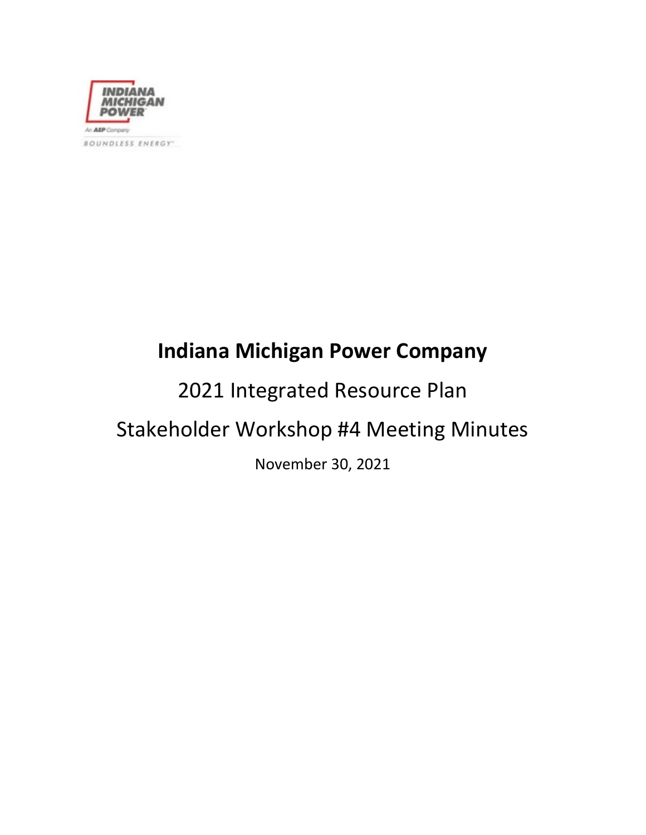

# **Indiana Michigan Power Company**

# 2021 Integrated Resource Plan Stakeholder Workshop #4 Meeting Minutes

November 30, 2021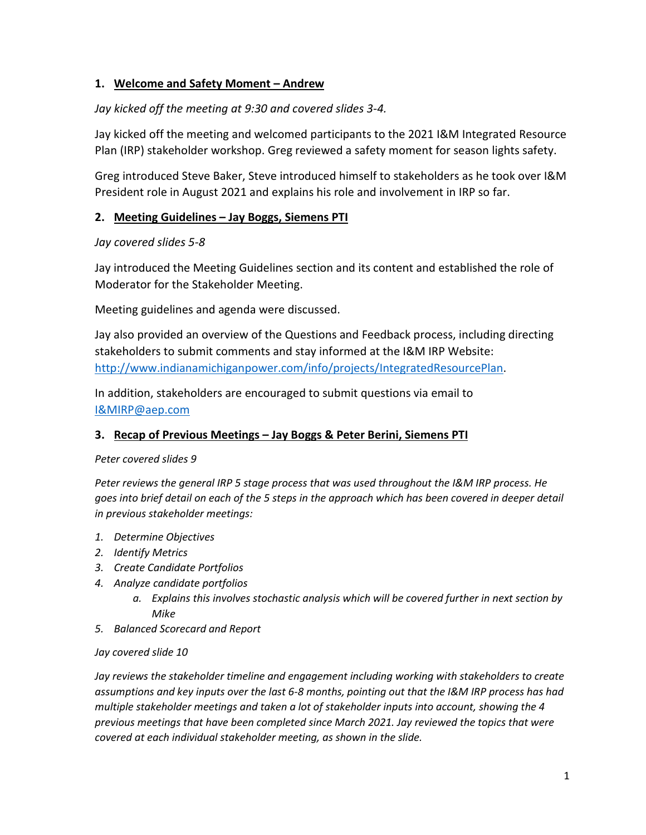# **1. Welcome and Safety Moment – Andrew**

# *Jay kicked off the meeting at 9:30 and covered slides 3-4.*

Jay kicked off the meeting and welcomed participants to the 2021 I&M Integrated Resource Plan (IRP) stakeholder workshop. Greg reviewed a safety moment for season lights safety.

Greg introduced Steve Baker, Steve introduced himself to stakeholders as he took over I&M President role in August 2021 and explains his role and involvement in IRP so far.

# **2. Meeting Guidelines – Jay Boggs, Siemens PTI**

# *Jay covered slides 5-8*

Jay introduced the Meeting Guidelines section and its content and established the role of Moderator for the Stakeholder Meeting.

Meeting guidelines and agenda were discussed.

Jay also provided an overview of the Questions and Feedback process, including directing stakeholders to submit comments and stay informed at the I&M IRP Website: [http://www.indianamichiganpower.com/info/projects/IntegratedResourcePlan.](http://www.indianamichiganpower.com/info/projects/IntegratedResourcePlan)

In addition, stakeholders are encouraged to submit questions via email to [I&MIRP@aep.com](mailto:I&MIRP@aep.com)

# **3. Recap of Previous Meetings – Jay Boggs & Peter Berini, Siemens PTI**

# *Peter covered slides 9*

*Peter reviews the general IRP 5 stage process that was used throughout the I&M IRP process. He goes into brief detail on each of the 5 steps in the approach which has been covered in deeper detail in previous stakeholder meetings:*

- *1. Determine Objectives*
- *2. Identify Metrics*
- *3. Create Candidate Portfolios*
- *4. Analyze candidate portfolios*
	- *a. Explains this involves stochastic analysis which will be covered further in next section by Mike*
- *5. Balanced Scorecard and Report*

# *Jay covered slide 10*

*Jay reviews the stakeholder timeline and engagement including working with stakeholders to create assumptions and key inputs over the last 6-8 months, pointing out that the I&M IRP process has had multiple stakeholder meetings and taken a lot of stakeholder inputs into account, showing the 4 previous meetings that have been completed since March 2021. Jay reviewed the topics that were covered at each individual stakeholder meeting, as shown in the slide.*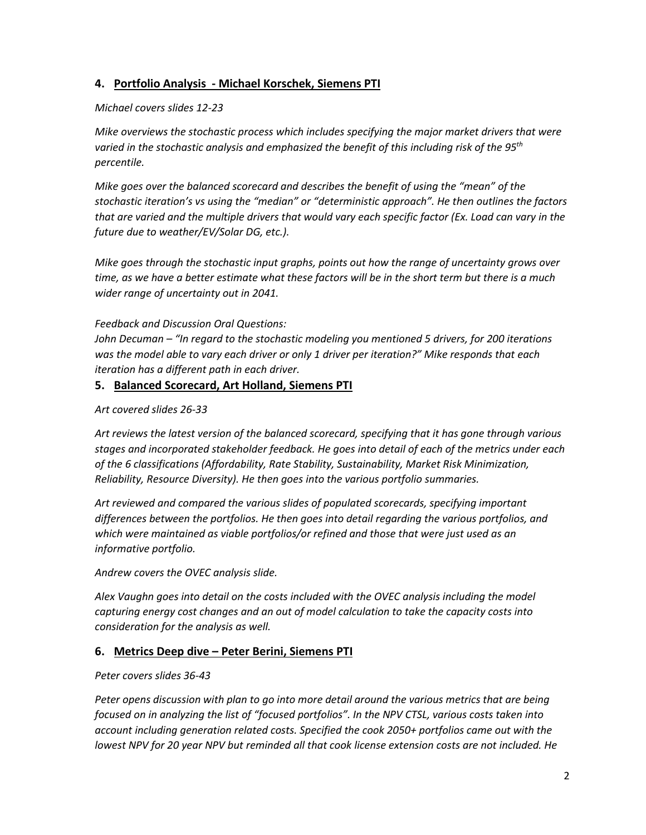# **4. Portfolio Analysis - Michael Korschek, Siemens PTI**

#### *Michael covers slides 12-23*

*Mike overviews the stochastic process which includes specifying the major market drivers that were varied in the stochastic analysis and emphasized the benefit of this including risk of the 95th percentile.* 

*Mike goes over the balanced scorecard and describes the benefit of using the "mean" of the stochastic iteration's vs using the "median" or "deterministic approach". He then outlines the factors that are varied and the multiple drivers that would vary each specific factor (Ex. Load can vary in the future due to weather/EV/Solar DG, etc.).* 

*Mike goes through the stochastic input graphs, points out how the range of uncertainty grows over time, as we have a better estimate what these factors will be in the short term but there is a much wider range of uncertainty out in 2041.*

*Feedback and Discussion Oral Questions:*

*John Decuman – "In regard to the stochastic modeling you mentioned 5 drivers, for 200 iterations was the model able to vary each driver or only 1 driver per iteration?" Mike responds that each iteration has a different path in each driver.*

#### **5. Balanced Scorecard, Art Holland, Siemens PTI**

*Art covered slides 26-33*

*Art reviews the latest version of the balanced scorecard, specifying that it has gone through various stages and incorporated stakeholder feedback. He goes into detail of each of the metrics under each of the 6 classifications (Affordability, Rate Stability, Sustainability, Market Risk Minimization, Reliability, Resource Diversity). He then goes into the various portfolio summaries.* 

*Art reviewed and compared the various slides of populated scorecards, specifying important differences between the portfolios. He then goes into detail regarding the various portfolios, and which were maintained as viable portfolios/or refined and those that were just used as an informative portfolio.* 

*Andrew covers the OVEC analysis slide.* 

*Alex Vaughn goes into detail on the costs included with the OVEC analysis including the model capturing energy cost changes and an out of model calculation to take the capacity costs into consideration for the analysis as well.* 

#### **6. Metrics Deep dive – Peter Berini, Siemens PTI**

#### *Peter covers slides 36-43*

*Peter opens discussion with plan to go into more detail around the various metrics that are being focused on in analyzing the list of "focused portfolios". In the NPV CTSL, various costs taken into account including generation related costs. Specified the cook 2050+ portfolios came out with the lowest NPV for 20 year NPV but reminded all that cook license extension costs are not included. He*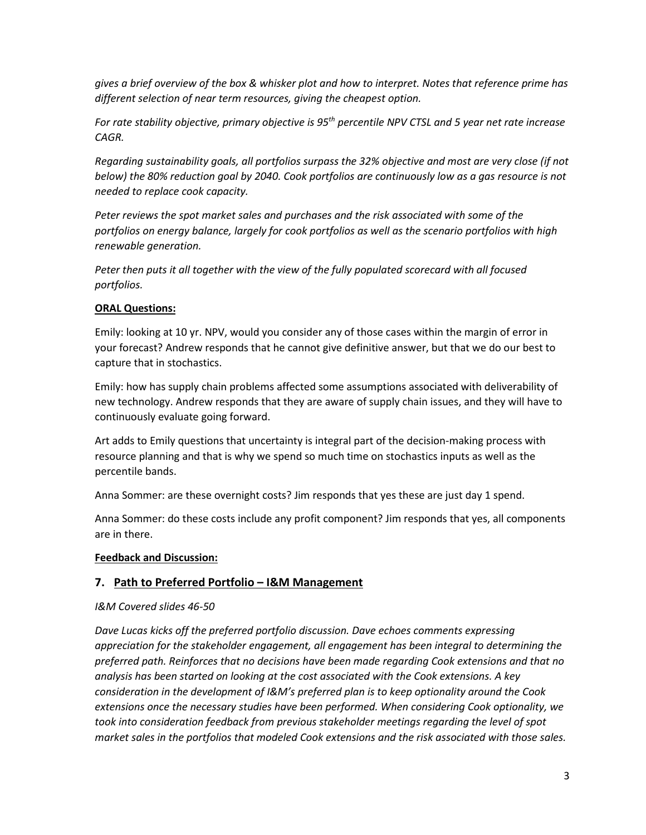*gives a brief overview of the box & whisker plot and how to interpret. Notes that reference prime has different selection of near term resources, giving the cheapest option.* 

*For rate stability objective, primary objective is 95th percentile NPV CTSL and 5 year net rate increase CAGR.* 

*Regarding sustainability goals, all portfolios surpass the 32% objective and most are very close (if not below) the 80% reduction goal by 2040. Cook portfolios are continuously low as a gas resource is not needed to replace cook capacity.*

*Peter reviews the spot market sales and purchases and the risk associated with some of the portfolios on energy balance, largely for cook portfolios as well as the scenario portfolios with high renewable generation.* 

*Peter then puts it all together with the view of the fully populated scorecard with all focused portfolios.* 

#### **ORAL Questions:**

Emily: looking at 10 yr. NPV, would you consider any of those cases within the margin of error in your forecast? Andrew responds that he cannot give definitive answer, but that we do our best to capture that in stochastics.

Emily: how has supply chain problems affected some assumptions associated with deliverability of new technology. Andrew responds that they are aware of supply chain issues, and they will have to continuously evaluate going forward.

Art adds to Emily questions that uncertainty is integral part of the decision-making process with resource planning and that is why we spend so much time on stochastics inputs as well as the percentile bands.

Anna Sommer: are these overnight costs? Jim responds that yes these are just day 1 spend.

Anna Sommer: do these costs include any profit component? Jim responds that yes, all components are in there.

#### **Feedback and Discussion:**

# **7. Path to Preferred Portfolio – I&M Management**

# *I&M Covered slides 46-50*

*Dave Lucas kicks off the preferred portfolio discussion. Dave echoes comments expressing appreciation for the stakeholder engagement, all engagement has been integral to determining the preferred path. Reinforces that no decisions have been made regarding Cook extensions and that no analysis has been started on looking at the cost associated with the Cook extensions. A key consideration in the development of I&M's preferred plan is to keep optionality around the Cook extensions once the necessary studies have been performed. When considering Cook optionality, we took into consideration feedback from previous stakeholder meetings regarding the level of spot market sales in the portfolios that modeled Cook extensions and the risk associated with those sales.*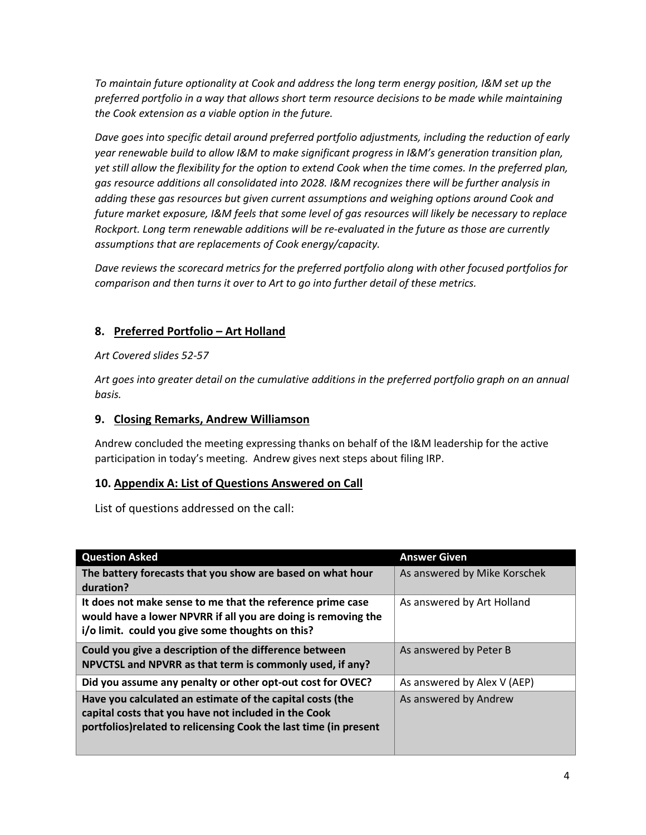*To maintain future optionality at Cook and address the long term energy position, I&M set up the preferred portfolio in a way that allows short term resource decisions to be made while maintaining the Cook extension as a viable option in the future.* 

*Dave goes into specific detail around preferred portfolio adjustments, including the reduction of early year renewable build to allow I&M to make significant progress in I&M's generation transition plan, yet still allow the flexibility for the option to extend Cook when the time comes. In the preferred plan, gas resource additions all consolidated into 2028. I&M recognizes there will be further analysis in adding these gas resources but given current assumptions and weighing options around Cook and future market exposure, I&M feels that some level of gas resources will likely be necessary to replace Rockport. Long term renewable additions will be re-evaluated in the future as those are currently assumptions that are replacements of Cook energy/capacity.* 

*Dave reviews the scorecard metrics for the preferred portfolio along with other focused portfolios for comparison and then turns it over to Art to go into further detail of these metrics.* 

# **8. Preferred Portfolio – Art Holland**

#### *Art Covered slides 52-57*

*Art goes into greater detail on the cumulative additions in the preferred portfolio graph on an annual basis.* 

### **9. Closing Remarks, Andrew Williamson**

Andrew concluded the meeting expressing thanks on behalf of the I&M leadership for the active participation in today's meeting. Andrew gives next steps about filing IRP.

# **10. Appendix A: List of Questions Answered on Call**

List of questions addressed on the call:

| <b>Question Asked</b>                                                                                                                                                                  | <b>Answer Given</b>          |
|----------------------------------------------------------------------------------------------------------------------------------------------------------------------------------------|------------------------------|
| The battery forecasts that you show are based on what hour<br>duration?                                                                                                                | As answered by Mike Korschek |
| It does not make sense to me that the reference prime case<br>would have a lower NPVRR if all you are doing is removing the<br>i/o limit. could you give some thoughts on this?        | As answered by Art Holland   |
| Could you give a description of the difference between<br>NPVCTSL and NPVRR as that term is commonly used, if any?                                                                     | As answered by Peter B       |
| Did you assume any penalty or other opt-out cost for OVEC?                                                                                                                             | As answered by Alex V (AEP)  |
| Have you calculated an estimate of the capital costs (the<br>capital costs that you have not included in the Cook<br>portfolios) related to relicensing Cook the last time (in present | As answered by Andrew        |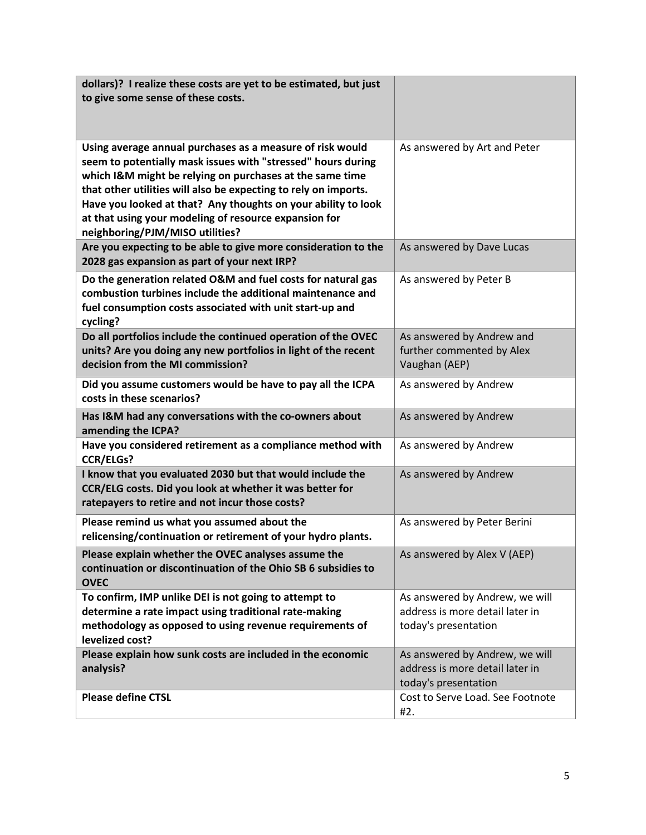| dollars)? I realize these costs are yet to be estimated, but just                        |                                                         |
|------------------------------------------------------------------------------------------|---------------------------------------------------------|
| to give some sense of these costs.                                                       |                                                         |
|                                                                                          |                                                         |
| Using average annual purchases as a measure of risk would                                | As answered by Art and Peter                            |
| seem to potentially mask issues with "stressed" hours during                             |                                                         |
| which I&M might be relying on purchases at the same time                                 |                                                         |
| that other utilities will also be expecting to rely on imports.                          |                                                         |
| Have you looked at that? Any thoughts on your ability to look                            |                                                         |
| at that using your modeling of resource expansion for<br>neighboring/PJM/MISO utilities? |                                                         |
| Are you expecting to be able to give more consideration to the                           | As answered by Dave Lucas                               |
| 2028 gas expansion as part of your next IRP?                                             |                                                         |
| Do the generation related O&M and fuel costs for natural gas                             | As answered by Peter B                                  |
| combustion turbines include the additional maintenance and                               |                                                         |
| fuel consumption costs associated with unit start-up and<br>cycling?                     |                                                         |
| Do all portfolios include the continued operation of the OVEC                            | As answered by Andrew and                               |
| units? Are you doing any new portfolios in light of the recent                           | further commented by Alex                               |
| decision from the MI commission?                                                         | Vaughan (AEP)                                           |
| Did you assume customers would be have to pay all the ICPA                               | As answered by Andrew                                   |
| costs in these scenarios?                                                                |                                                         |
| Has I&M had any conversations with the co-owners about<br>amending the ICPA?             | As answered by Andrew                                   |
| Have you considered retirement as a compliance method with<br><b>CCR/ELGs?</b>           | As answered by Andrew                                   |
| I know that you evaluated 2030 but that would include the                                | As answered by Andrew                                   |
| CCR/ELG costs. Did you look at whether it was better for                                 |                                                         |
| ratepayers to retire and not incur those costs?                                          |                                                         |
| Please remind us what you assumed about the                                              | As answered by Peter Berini                             |
| relicensing/continuation or retirement of your hydro plants.                             |                                                         |
| Please explain whether the OVEC analyses assume the                                      | As answered by Alex V (AEP)                             |
| continuation or discontinuation of the Ohio SB 6 subsidies to<br><b>OVEC</b>             |                                                         |
| To confirm, IMP unlike DEI is not going to attempt to                                    | As answered by Andrew, we will                          |
| determine a rate impact using traditional rate-making                                    | address is more detail later in                         |
| methodology as opposed to using revenue requirements of                                  | today's presentation                                    |
| levelized cost?                                                                          |                                                         |
| Please explain how sunk costs are included in the economic                               | As answered by Andrew, we will                          |
| analysis?                                                                                | address is more detail later in<br>today's presentation |
| <b>Please define CTSL</b>                                                                | Cost to Serve Load. See Footnote                        |
|                                                                                          | #2.                                                     |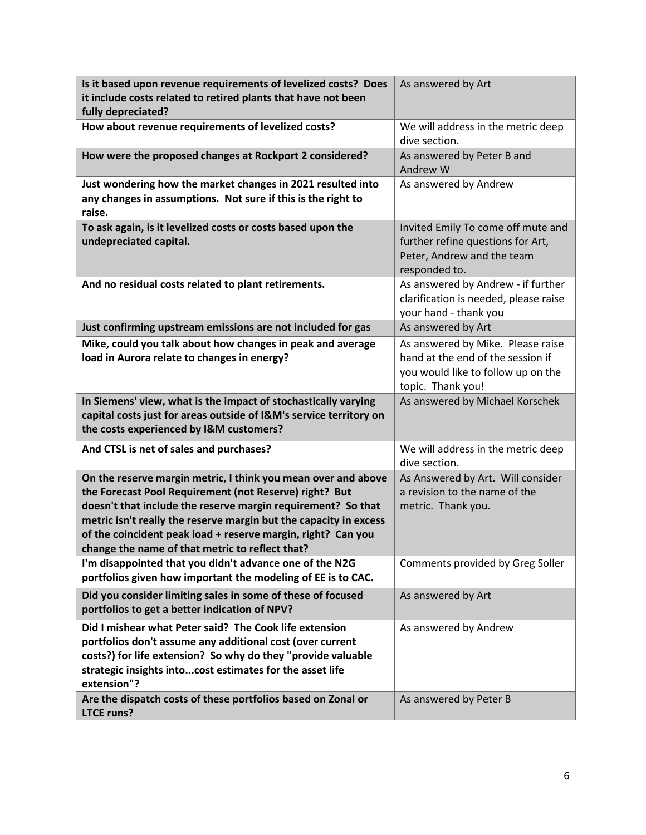| Is it based upon revenue requirements of levelized costs? Does<br>it include costs related to retired plants that have not been<br>fully depreciated?                                                                                                                                                                                                                           | As answered by Art                                                                                                                |
|---------------------------------------------------------------------------------------------------------------------------------------------------------------------------------------------------------------------------------------------------------------------------------------------------------------------------------------------------------------------------------|-----------------------------------------------------------------------------------------------------------------------------------|
| How about revenue requirements of levelized costs?                                                                                                                                                                                                                                                                                                                              | We will address in the metric deep<br>dive section.                                                                               |
| How were the proposed changes at Rockport 2 considered?                                                                                                                                                                                                                                                                                                                         | As answered by Peter B and<br>Andrew W                                                                                            |
| Just wondering how the market changes in 2021 resulted into<br>any changes in assumptions. Not sure if this is the right to<br>raise.                                                                                                                                                                                                                                           | As answered by Andrew                                                                                                             |
| To ask again, is it levelized costs or costs based upon the<br>undepreciated capital.                                                                                                                                                                                                                                                                                           | Invited Emily To come off mute and<br>further refine questions for Art,<br>Peter, Andrew and the team<br>responded to.            |
| And no residual costs related to plant retirements.                                                                                                                                                                                                                                                                                                                             | As answered by Andrew - if further<br>clarification is needed, please raise<br>your hand - thank you                              |
| Just confirming upstream emissions are not included for gas                                                                                                                                                                                                                                                                                                                     | As answered by Art                                                                                                                |
| Mike, could you talk about how changes in peak and average<br>load in Aurora relate to changes in energy?                                                                                                                                                                                                                                                                       | As answered by Mike. Please raise<br>hand at the end of the session if<br>you would like to follow up on the<br>topic. Thank you! |
| In Siemens' view, what is the impact of stochastically varying<br>capital costs just for areas outside of I&M's service territory on<br>the costs experienced by I&M customers?                                                                                                                                                                                                 | As answered by Michael Korschek                                                                                                   |
| And CTSL is net of sales and purchases?                                                                                                                                                                                                                                                                                                                                         | We will address in the metric deep<br>dive section.                                                                               |
| On the reserve margin metric, I think you mean over and above<br>the Forecast Pool Requirement (not Reserve) right? But<br>doesn't that include the reserve margin requirement? So that<br>metric isn't really the reserve margin but the capacity in excess<br>of the coincident peak load + reserve margin, right? Can you<br>change the name of that metric to reflect that? | As Answered by Art. Will consider<br>a revision to the name of the<br>metric. Thank you.                                          |
| I'm disappointed that you didn't advance one of the N2G<br>portfolios given how important the modeling of EE is to CAC.                                                                                                                                                                                                                                                         | Comments provided by Greg Soller                                                                                                  |
| Did you consider limiting sales in some of these of focused<br>portfolios to get a better indication of NPV?                                                                                                                                                                                                                                                                    | As answered by Art                                                                                                                |
| Did I mishear what Peter said? The Cook life extension<br>portfolios don't assume any additional cost (over current<br>costs?) for life extension? So why do they "provide valuable<br>strategic insights intocost estimates for the asset life<br>extension"?                                                                                                                  | As answered by Andrew                                                                                                             |
| Are the dispatch costs of these portfolios based on Zonal or<br><b>LTCE runs?</b>                                                                                                                                                                                                                                                                                               | As answered by Peter B                                                                                                            |